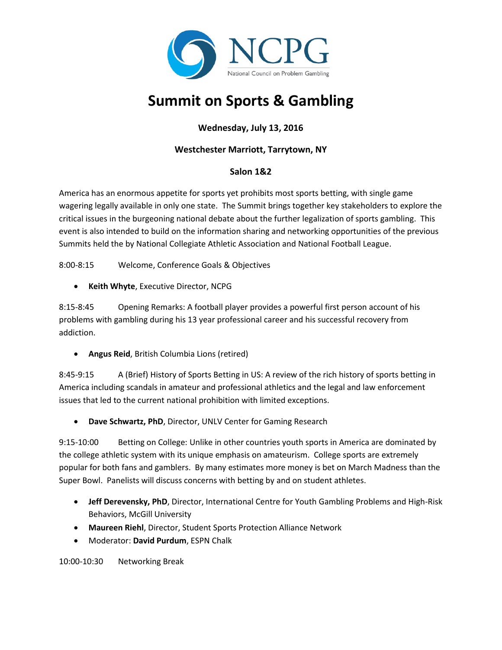

# **Summit on Sports & Gambling**

# **Wednesday, July 13, 2016**

## **Westchester Marriott, Tarrytown, NY**

### **Salon 1&2**

America has an enormous appetite for sports yet prohibits most sports betting, with single game wagering legally available in only one state. The Summit brings together key stakeholders to explore the critical issues in the burgeoning national debate about the further legalization of sports gambling. This event is also intended to build on the information sharing and networking opportunities of the previous Summits held the by National Collegiate Athletic Association and National Football League.

8:00-8:15 Welcome, Conference Goals & Objectives

**Keith Whyte**, Executive Director, NCPG

8:15-8:45 Opening Remarks: A football player provides a powerful first person account of his problems with gambling during his 13 year professional career and his successful recovery from addiction.

**Angus Reid**, British Columbia Lions (retired)

8:45-9:15 A (Brief) History of Sports Betting in US: A review of the rich history of sports betting in America including scandals in amateur and professional athletics and the legal and law enforcement issues that led to the current national prohibition with limited exceptions.

**Dave Schwartz, PhD**, Director, UNLV Center for Gaming Research

9:15-10:00 Betting on College: Unlike in other countries youth sports in America are dominated by the college athletic system with its unique emphasis on amateurism. College sports are extremely popular for both fans and gamblers. By many estimates more money is bet on March Madness than the Super Bowl. Panelists will discuss concerns with betting by and on student athletes.

- **Jeff Derevensky, PhD**, Director, International Centre for Youth Gambling Problems and High-Risk Behaviors, McGill University
- **Maureen Riehl**, Director, Student Sports Protection Alliance Network
- Moderator: **David Purdum**, ESPN Chalk

10:00-10:30 Networking Break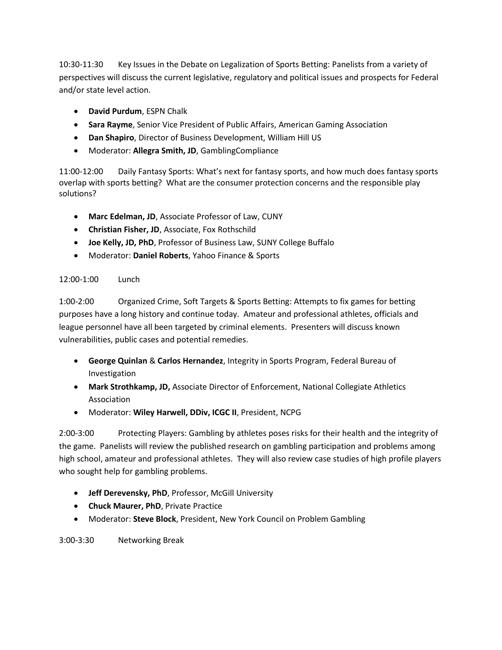10:30-11:30 Key Issues in the Debate on Legalization of Sports Betting: Panelists from a variety of perspectives will discuss the current legislative, regulatory and political issues and prospects for Federal and/or state level action.

- **David Purdum**, ESPN Chalk
- **Sara Rayme**, Senior Vice President of Public Affairs, American Gaming Association
- **Dan Shapiro**, Director of Business Development, William Hill US
- Moderator: **Allegra Smith, JD**, GamblingCompliance

11:00-12:00 Daily Fantasy Sports: What's next for fantasy sports, and how much does fantasy sports overlap with sports betting? What are the consumer protection concerns and the responsible play solutions?

- **Marc Edelman, JD**, Associate Professor of Law, CUNY
- **Christian Fisher, JD**, Associate, Fox Rothschild
- **Joe Kelly, JD, PhD**, Professor of Business Law, SUNY College Buffalo
- Moderator: **Daniel Roberts**, Yahoo Finance & Sports

#### 12:00-1:00 Lunch

1:00-2:00 Organized Crime, Soft Targets & Sports Betting: Attempts to fix games for betting purposes have a long history and continue today. Amateur and professional athletes, officials and league personnel have all been targeted by criminal elements. Presenters will discuss known vulnerabilities, public cases and potential remedies.

- **George Quinlan** & **Carlos Hernandez**, Integrity in Sports Program, Federal Bureau of Investigation
- **Mark Strothkamp, JD,** Associate Director of Enforcement, National Collegiate Athletics Association
- Moderator: **Wiley Harwell, DDiv, ICGC II**, President, NCPG

2:00-3:00 Protecting Players: Gambling by athletes poses risks for their health and the integrity of the game. Panelists will review the published research on gambling participation and problems among high school, amateur and professional athletes. They will also review case studies of high profile players who sought help for gambling problems.

- **Jeff Derevensky, PhD**, Professor, McGill University
- **Chuck Maurer, PhD**, Private Practice
- Moderator: **Steve Block**, President, New York Council on Problem Gambling

3:00-3:30 Networking Break